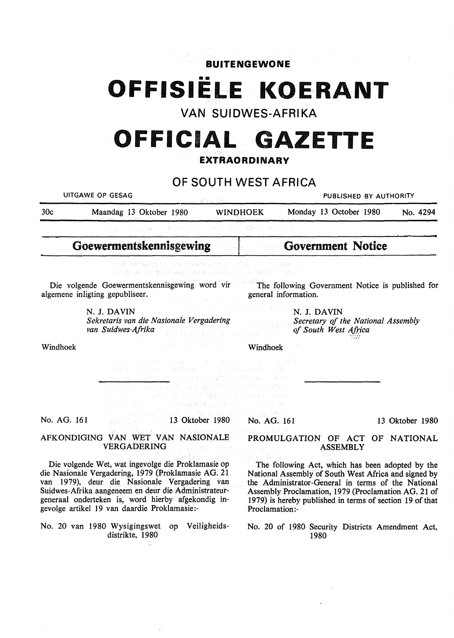**BUITENGEWONE**  •• **OFFISIELE KOERANT**  VAN SUIDWES-AFRIKA **OFFICIAL GAZETTE EXTRAORDINARY**  OF SOUTH WEST AFRICA UITGAWE OP GESAG **PUBLISHED BY AUTHORITY** 30c Maandag 13 Oktober 1980 **WINQHOEK** Monday 13 October 1980 No. 4294 **Goewermentskennisgewing Government Notice**  sa mai nebeala Yunchi suvyi realykan vantsa a n dik e në bor esi dres sh e e i Die volgende Goewermentskennisgewing word vir The following Government Notice is published for algemene inligting gepubliseer. general information. N. J. **DAVIN**  N. J. **DAVIN**  *Sekretaris van die Nasionale Vergadering Secretary of the National Assembly van Suidwes-Afrika*  of South West Africa Windhoek Windhoek ila<br>Valik de l'Espaina d'Artista d'Art status est explorado en la calculativa en la provincia.<br>Alguna est alguna est en la calculativa THE PARADEN BUILDING CO. No. AG. 161 13 May 13 Oktober 1980 No. AG. 161 13 Oktober 1980 AFKONDIGING VAN WET VAN NASIONALE **PROMULGATION** OF ACT OF **NATIONAL**  VERGADERING **ASSEMBLY**  Die volgende Wet, wat ingevolge die Proklamasie op The following Act, which has been adopted by the die Nasionale Vergadering, 1979 (Proklamasie AG. 21 National Assembly of South West Africa and signed by van 1979), deur die Nasionale Vergadering van the Administrator-General in terms of the National Suidwes-Afrika aangeneem en deur die Administrateur-Assembly Proclamation, 1979 (Proclamation AG. 21 of generaal onderteken is, word hierby afgekondig in-1979) is hereby published in terms of section 19 of that gevolge artikel 19 van daardie Proklamasie:- Proclamation:- No. 20 van 1980 Wysigingswet op Veiligheids-No. 20 of 1980 Security Districts Amendment Act, distrikte, 1980 1980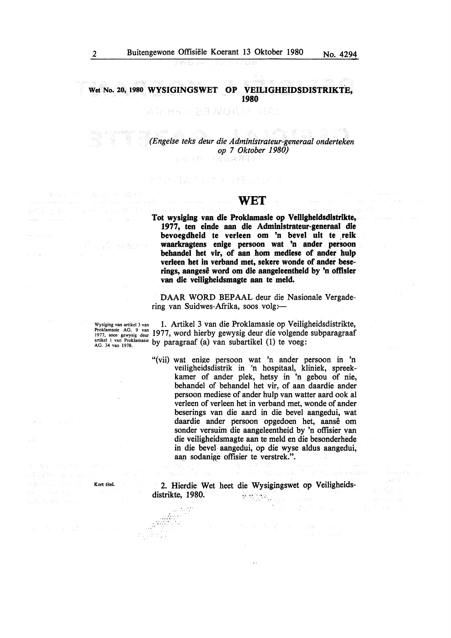**Wet No. 20, 1980 WYSIGINGSWET OP VEILIGHEIDSDISTRIKTE, 1980** 

## 人名马特拉 人名英格兰姓氏 网络

*(Engelse teks deur die Administrateur-generaal onderteken op* 7 *Oktober 1980)* 

写和 生恋 ふう ひっと 心感 アイ・スト

## **WET**

**Tot wysiglng van die Proklamasie op Veiligheldsdistrikte, 1977, ten einde aan die Admlnistrateur-generaal die**  bevoegdheid te verleen om 'n bevel uit te reik **waarkragtens enige persoon wat 'n ander persoon behandel het vir, of aan hom medlese of ander hulp verleen het in verband met, sekere wonde of ander beserings, aangese word om die aangeleentheid by 'n offlsier van die veiligheidsmagte aan te meld.** 

DAAR WORD BEPAAL deur die Nasionale Vergadering van Suidwes-Afrika, soos volg:-

Wysiging van artikel 3 van 1. Artikel 3 van die Proklamasie op Veiligheidsdistrikte, Proklamasie AG. 9 van 1977, word hierby gewysig deur die volgende subparagraaf artikel I van Proklamasie by paragraaf (a) van subartikel (1) te voeg:

> "(vii) wat enige persoon wat 'n ander persoon in 'n veiligheidsdistrik in 'n hospitaal, kliniek, spreekkamer of ander plek, hetsy in 'n gebou of nie, behandel of behandel het vir, of aan daardie ander persoon mediese of ander hulp van watter aard ook al verleen of verleen het in verband met, wonde of ander beserings van die aard in die bevel aangedui, wat daardie ander persoon opgedoen het, aanse om sonder versuim die aangeleentheid by 'n offisier van die veiligheidsmagte aan te meld en die besonderhede in die bevel- aangedui, op die wyse aldus aangedui, aan sodanige offisier te verstrek.". .<br>Wa

2. Hierdie Wet heet die Wysigingswet op Veiligheidsdistrikte, 1980.

1987 图片分布

 $1.12 - 1.1$ 

Kort titel.

al Carti del Bergele